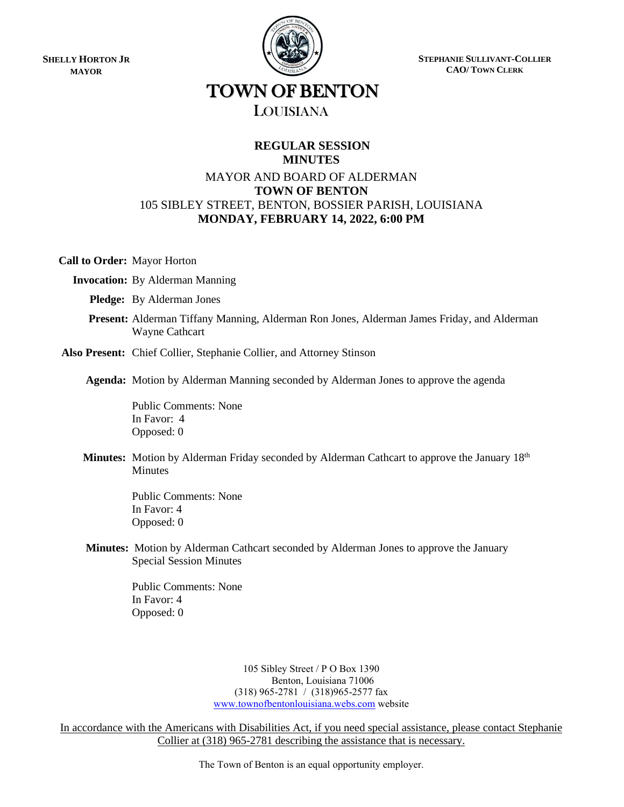**SHELLY HORTON JR MAYOR**



**STEPHANIE SULLIVANT-COLLIER CAO/ TOWN CLERK**

# TOWN OF BENTON

# LOUISIANA

## **REGULAR SESSION MINUTES**

# MAYOR AND BOARD OF ALDERMAN **TOWN OF BENTON** 105 SIBLEY STREET, BENTON, BOSSIER PARISH, LOUISIANA **MONDAY, FEBRUARY 14, 2022, 6:00 PM**

**Call to Order:** Mayor Horton

 **Invocation:** By Alderman Manning

 **Pledge:** By Alderman Jones

 **Present:** Alderman Tiffany Manning, Alderman Ron Jones, Alderman James Friday, and Alderman Wayne Cathcart

**Also Present:** Chief Collier, Stephanie Collier, and Attorney Stinson

**Agenda:** Motion by Alderman Manning seconded by Alderman Jones to approve the agenda

Public Comments: None In Favor: 4 Opposed: 0

**Minutes:** Motion by Alderman Friday seconded by Alderman Cathcart to approve the January 18<sup>th</sup> Minutes

> Public Comments: None In Favor: 4 Opposed: 0

 **Minutes:** Motion by Alderman Cathcart seconded by Alderman Jones to approve the January Special Session Minutes

> Public Comments: None In Favor: 4 Opposed: 0

> > 105 Sibley Street / P O Box 1390 Benton, Louisiana 71006 (318) 965-2781 / (318)965-2577 fax [www.townofbentonlouisiana.webs.com](http://www.townofbentonlouisiana.webs.com/) website

In accordance with the Americans with Disabilities Act, if you need special assistance, please contact Stephanie Collier at (318) 965-2781 describing the assistance that is necessary.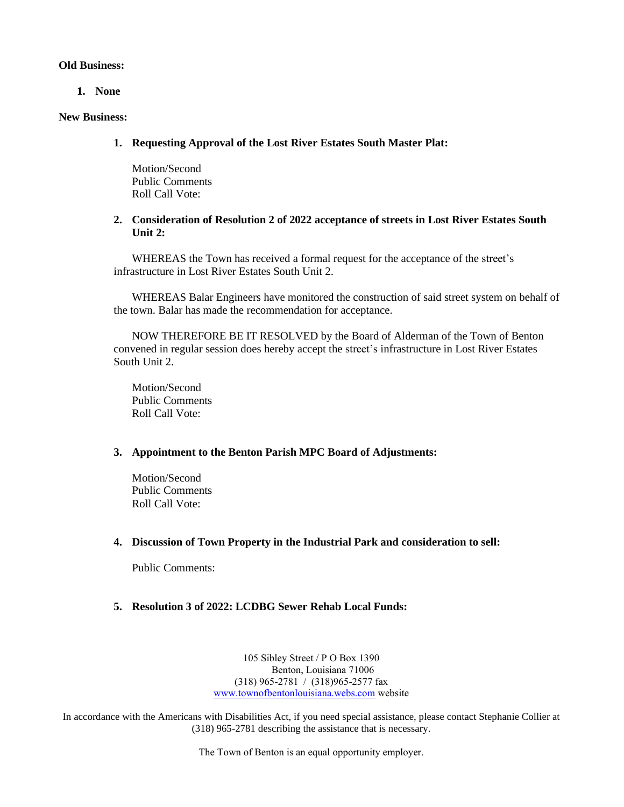#### **Old Business:**

**1. None**

#### **New Business:**

**1. Requesting Approval of the Lost River Estates South Master Plat:**

Motion/Second Public Comments Roll Call Vote:

#### **2. Consideration of Resolution 2 of 2022 acceptance of streets in Lost River Estates South Unit 2:**

WHEREAS the Town has received a formal request for the acceptance of the street's infrastructure in Lost River Estates South Unit 2.

WHEREAS Balar Engineers have monitored the construction of said street system on behalf of the town. Balar has made the recommendation for acceptance.

NOW THEREFORE BE IT RESOLVED by the Board of Alderman of the Town of Benton convened in regular session does hereby accept the street's infrastructure in Lost River Estates South Unit 2.

Motion/Second Public Comments Roll Call Vote:

#### **3. Appointment to the Benton Parish MPC Board of Adjustments:**

Motion/Second Public Comments Roll Call Vote:

#### **4. Discussion of Town Property in the Industrial Park and consideration to sell:**

Public Comments:

### **5. Resolution 3 of 2022: LCDBG Sewer Rehab Local Funds:**

105 Sibley Street / P O Box 1390 Benton, Louisiana 71006 (318) 965-2781 / (318)965-2577 fax [www.townofbentonlouisiana.webs.com](http://www.townofbentonlouisiana.webs.com/) website

In accordance with the Americans with Disabilities Act, if you need special assistance, please contact Stephanie Collier at (318) 965-2781 describing the assistance that is necessary.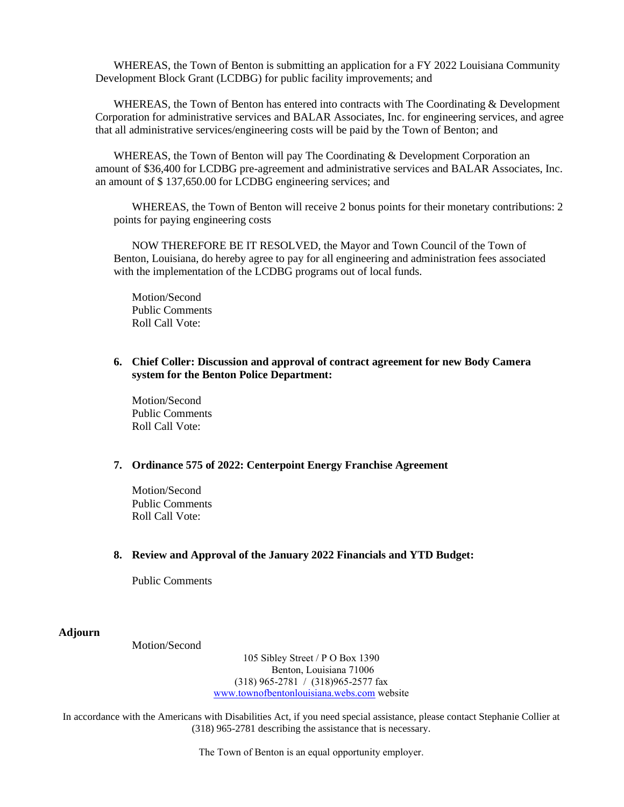WHEREAS, the Town of Benton is submitting an application for a FY 2022 Louisiana Community Development Block Grant (LCDBG) for public facility improvements; and

WHEREAS, the Town of Benton has entered into contracts with The Coordinating & Development Corporation for administrative services and BALAR Associates, Inc. for engineering services, and agree that all administrative services/engineering costs will be paid by the Town of Benton; and

WHEREAS, the Town of Benton will pay The Coordinating & Development Corporation an amount of \$36,400 for LCDBG pre-agreement and administrative services and BALAR Associates, Inc. an amount of \$ 137,650.00 for LCDBG engineering services; and

WHEREAS, the Town of Benton will receive 2 bonus points for their monetary contributions: 2 points for paying engineering costs

NOW THEREFORE BE IT RESOLVED, the Mayor and Town Council of the Town of Benton, Louisiana, do hereby agree to pay for all engineering and administration fees associated with the implementation of the LCDBG programs out of local funds.

Motion/Second Public Comments Roll Call Vote:

#### **6. Chief Coller: Discussion and approval of contract agreement for new Body Camera system for the Benton Police Department:**

Motion/Second Public Comments Roll Call Vote:

#### **7. Ordinance 575 of 2022: Centerpoint Energy Franchise Agreement**

Motion/Second Public Comments Roll Call Vote:

#### **8. Review and Approval of the January 2022 Financials and YTD Budget:**

Public Comments

**Adjourn**

Motion/Second

105 Sibley Street / P O Box 1390 Benton, Louisiana 71006 (318) 965-2781 / (318)965-2577 fax [www.townofbentonlouisiana.webs.com](http://www.townofbentonlouisiana.webs.com/) website

In accordance with the Americans with Disabilities Act, if you need special assistance, please contact Stephanie Collier at (318) 965-2781 describing the assistance that is necessary.